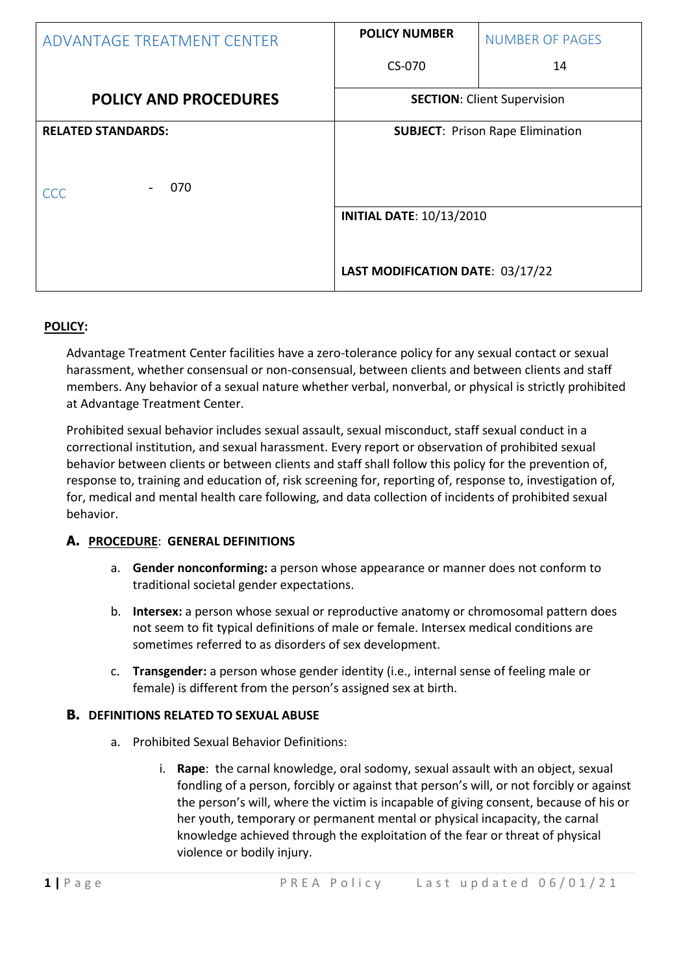| ADVANTAGE TREATMENT CENTER                     | <b>POLICY NUMBER</b>                                                | <b>NUMBER OF PAGES</b>                  |
|------------------------------------------------|---------------------------------------------------------------------|-----------------------------------------|
|                                                | CS-070                                                              | 14                                      |
| <b>POLICY AND PROCEDURES</b>                   | <b>SECTION: Client Supervision</b>                                  |                                         |
| <b>RELATED STANDARDS:</b><br>070<br><b>CCC</b> |                                                                     | <b>SUBJECT: Prison Rape Elimination</b> |
|                                                | <b>INITIAL DATE: 10/13/2010</b><br>LAST MODIFICATION DATE: 03/17/22 |                                         |

# **POLICY:**

Advantage Treatment Center facilities have a zero-tolerance policy for any sexual contact or sexual harassment, whether consensual or non-consensual, between clients and between clients and staff members. Any behavior of a sexual nature whether verbal, nonverbal, or physical is strictly prohibited at Advantage Treatment Center.

Prohibited sexual behavior includes sexual assault, sexual misconduct, staff sexual conduct in a correctional institution, and sexual harassment. Every report or observation of prohibited sexual behavior between clients or between clients and staff shall follow this policy for the prevention of, response to, training and education of, risk screening for, reporting of, response to, investigation of, for, medical and mental health care following, and data collection of incidents of prohibited sexual behavior.

### **A. PROCEDURE**: **GENERAL DEFINITIONS**

- a. **Gender nonconforming:** a person whose appearance or manner does not conform to traditional societal gender expectations.
- b. **Intersex:** a person whose sexual or reproductive anatomy or chromosomal pattern does not seem to fit typical definitions of male or female. Intersex medical conditions are sometimes referred to as disorders of sex development.
- c. **Transgender:** a person whose gender identity (i.e., internal sense of feeling male or female) is different from the person's assigned sex at birth.

### **B. DEFINITIONS RELATED TO SEXUAL ABUSE**

- a. Prohibited Sexual Behavior Definitions:
	- i. **Rape**: the carnal knowledge, oral sodomy, sexual assault with an object, sexual fondling of a person, forcibly or against that person's will, or not forcibly or against the person's will, where the victim is incapable of giving consent, because of his or her youth, temporary or permanent mental or physical incapacity, the carnal knowledge achieved through the exploitation of the fear or threat of physical violence or bodily injury.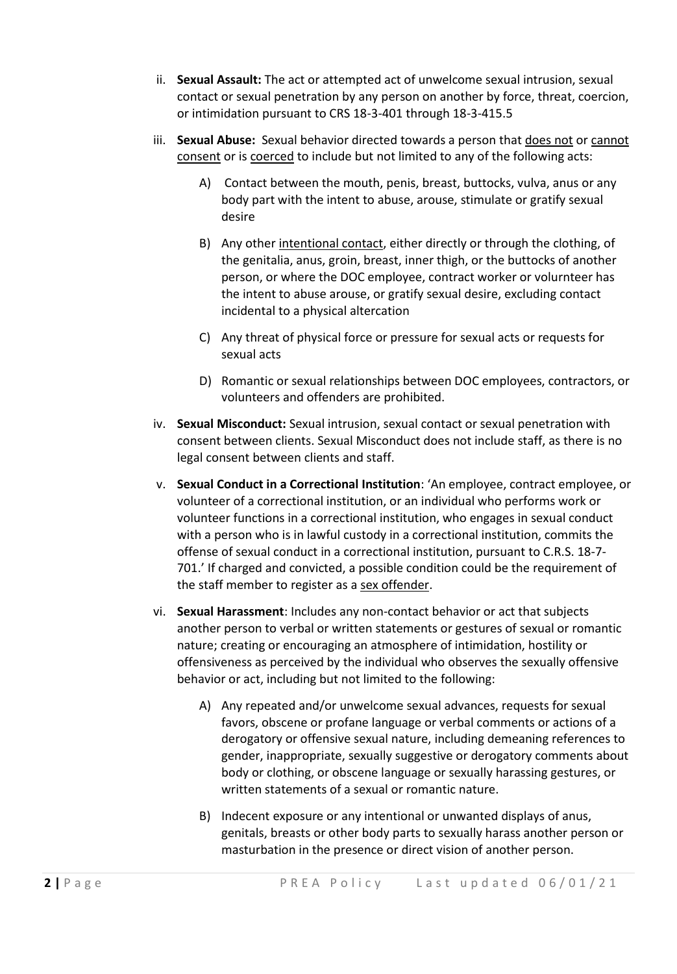- ii. **Sexual Assault:** The act or attempted act of unwelcome sexual intrusion, sexual contact or sexual penetration by any person on another by force, threat, coercion, or intimidation pursuant to CRS 18-3-401 through 18-3-415.5
- iii. **Sexual Abuse:** Sexual behavior directed towards a person that does not or cannot consent or is coerced to include but not limited to any of the following acts:
	- A) Contact between the mouth, penis, breast, buttocks, vulva, anus or any body part with the intent to abuse, arouse, stimulate or gratify sexual desire
	- B) Any other intentional contact, either directly or through the clothing, of the genitalia, anus, groin, breast, inner thigh, or the buttocks of another person, or where the DOC employee, contract worker or volurnteer has the intent to abuse arouse, or gratify sexual desire, excluding contact incidental to a physical altercation
	- C) Any threat of physical force or pressure for sexual acts or requests for sexual acts
	- D) Romantic or sexual relationships between DOC employees, contractors, or volunteers and offenders are prohibited.
- iv. **Sexual Misconduct:** Sexual intrusion, sexual contact or sexual penetration with consent between clients. Sexual Misconduct does not include staff, as there is no legal consent between clients and staff.
- v. **Sexual Conduct in a Correctional Institution**: 'An employee, contract employee, or volunteer of a correctional institution, or an individual who performs work or volunteer functions in a correctional institution, who engages in sexual conduct with a person who is in lawful custody in a correctional institution, commits the offense of sexual conduct in a correctional institution, pursuant to C.R.S. 18-7- 701.' If charged and convicted, a possible condition could be the requirement of the staff member to register as a sex offender.
- vi. **Sexual Harassment**: Includes any non-contact behavior or act that subjects another person to verbal or written statements or gestures of sexual or romantic nature; creating or encouraging an atmosphere of intimidation, hostility or offensiveness as perceived by the individual who observes the sexually offensive behavior or act, including but not limited to the following:
	- A) Any repeated and/or unwelcome sexual advances, requests for sexual favors, obscene or profane language or verbal comments or actions of a derogatory or offensive sexual nature, including demeaning references to gender, inappropriate, sexually suggestive or derogatory comments about body or clothing, or obscene language or sexually harassing gestures, or written statements of a sexual or romantic nature.
	- B) Indecent exposure or any intentional or unwanted displays of anus, genitals, breasts or other body parts to sexually harass another person or masturbation in the presence or direct vision of another person.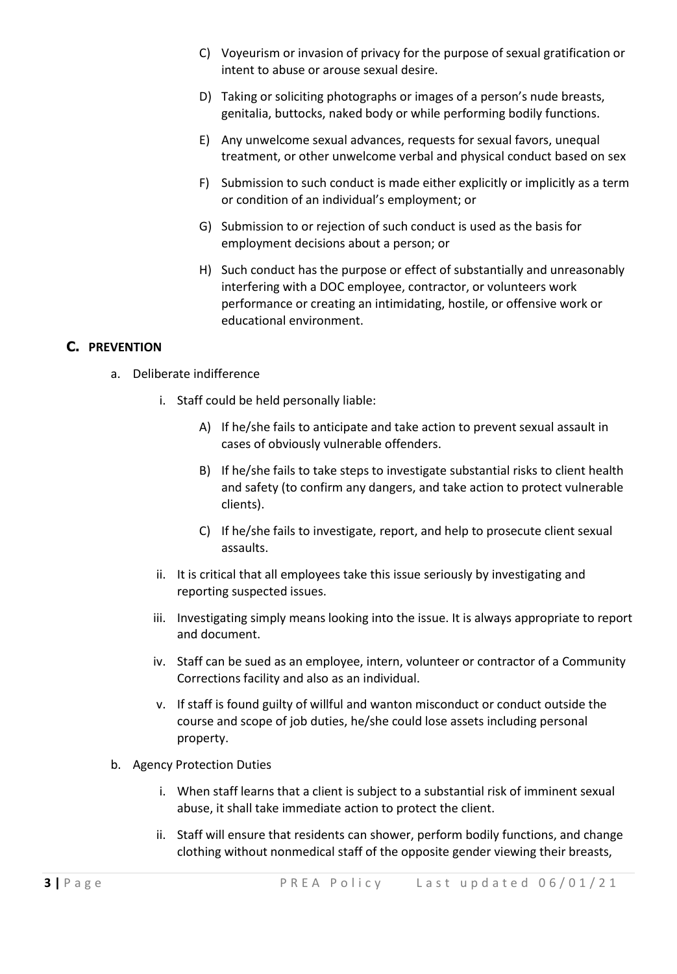- C) Voyeurism or invasion of privacy for the purpose of sexual gratification or intent to abuse or arouse sexual desire.
- D) Taking or soliciting photographs or images of a person's nude breasts, genitalia, buttocks, naked body or while performing bodily functions.
- E) Any unwelcome sexual advances, requests for sexual favors, unequal treatment, or other unwelcome verbal and physical conduct based on sex
- F) Submission to such conduct is made either explicitly or implicitly as a term or condition of an individual's employment; or
- G) Submission to or rejection of such conduct is used as the basis for employment decisions about a person; or
- H) Such conduct has the purpose or effect of substantially and unreasonably interfering with a DOC employee, contractor, or volunteers work performance or creating an intimidating, hostile, or offensive work or educational environment.

# **C. PREVENTION**

- a. Deliberate indifference
	- i. Staff could be held personally liable:
		- A) If he/she fails to anticipate and take action to prevent sexual assault in cases of obviously vulnerable offenders.
		- B) If he/she fails to take steps to investigate substantial risks to client health and safety (to confirm any dangers, and take action to protect vulnerable clients).
		- C) If he/she fails to investigate, report, and help to prosecute client sexual assaults.
	- ii. It is critical that all employees take this issue seriously by investigating and reporting suspected issues.
	- iii. Investigating simply means looking into the issue. It is always appropriate to report and document.
	- iv. Staff can be sued as an employee, intern, volunteer or contractor of a Community Corrections facility and also as an individual.
	- v. If staff is found guilty of willful and wanton misconduct or conduct outside the course and scope of job duties, he/she could lose assets including personal property.
- b. Agency Protection Duties
	- i. When staff learns that a client is subject to a substantial risk of imminent sexual abuse, it shall take immediate action to protect the client.
	- ii. Staff will ensure that residents can shower, perform bodily functions, and change clothing without nonmedical staff of the opposite gender viewing their breasts,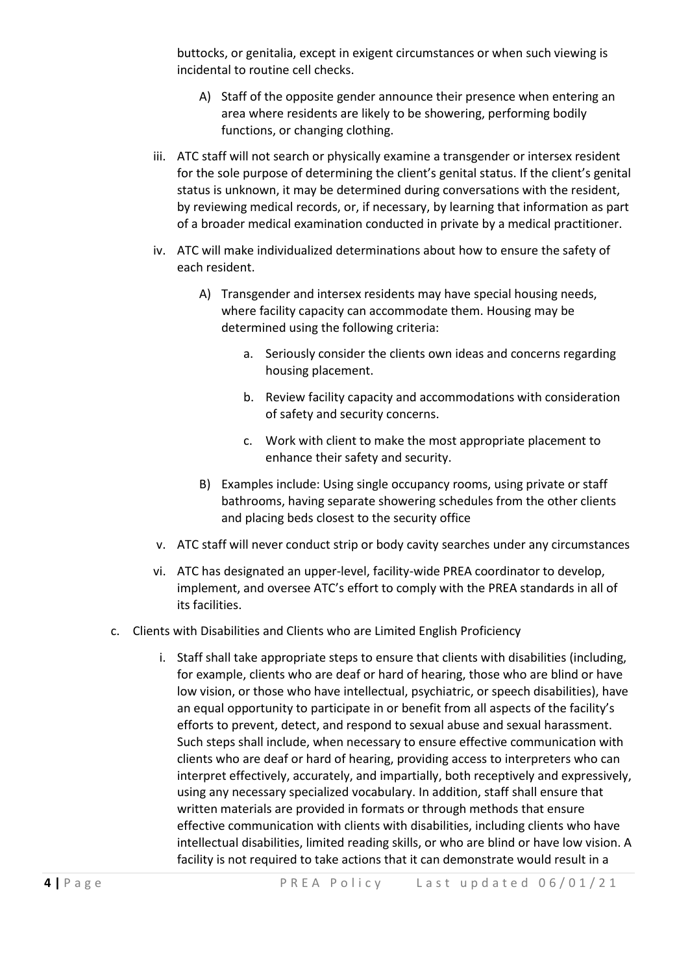buttocks, or genitalia, except in exigent circumstances or when such viewing is incidental to routine cell checks.

- A) Staff of the opposite gender announce their presence when entering an area where residents are likely to be showering, performing bodily functions, or changing clothing.
- iii. ATC staff will not search or physically examine a transgender or intersex resident for the sole purpose of determining the client's genital status. If the client's genital status is unknown, it may be determined during conversations with the resident, by reviewing medical records, or, if necessary, by learning that information as part of a broader medical examination conducted in private by a medical practitioner.
- iv. ATC will make individualized determinations about how to ensure the safety of each resident.
	- A) Transgender and intersex residents may have special housing needs, where facility capacity can accommodate them. Housing may be determined using the following criteria:
		- a. Seriously consider the clients own ideas and concerns regarding housing placement.
		- b. Review facility capacity and accommodations with consideration of safety and security concerns.
		- c. Work with client to make the most appropriate placement to enhance their safety and security.
	- B) Examples include: Using single occupancy rooms, using private or staff bathrooms, having separate showering schedules from the other clients and placing beds closest to the security office
- v. ATC staff will never conduct strip or body cavity searches under any circumstances
- vi. ATC has designated an upper-level, facility-wide PREA coordinator to develop, implement, and oversee ATC's effort to comply with the PREA standards in all of its facilities.
- c. Clients with Disabilities and Clients who are Limited English Proficiency
	- i. Staff shall take appropriate steps to ensure that clients with disabilities (including, for example, clients who are deaf or hard of hearing, those who are blind or have low vision, or those who have intellectual, psychiatric, or speech disabilities), have an equal opportunity to participate in or benefit from all aspects of the facility's efforts to prevent, detect, and respond to sexual abuse and sexual harassment. Such steps shall include, when necessary to ensure effective communication with clients who are deaf or hard of hearing, providing access to interpreters who can interpret effectively, accurately, and impartially, both receptively and expressively, using any necessary specialized vocabulary. In addition, staff shall ensure that written materials are provided in formats or through methods that ensure effective communication with clients with disabilities, including clients who have intellectual disabilities, limited reading skills, or who are blind or have low vision. A facility is not required to take actions that it can demonstrate would result in a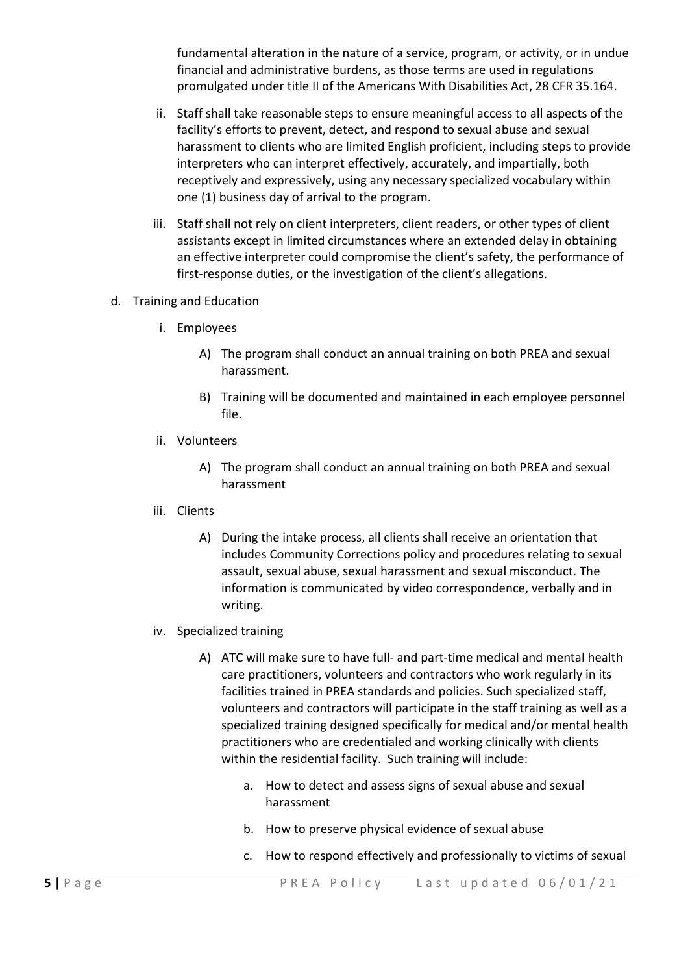fundamental alteration in the nature of a service, program, or activity, or in undue financial and administrative burdens, as those terms are used in regulations promulgated under title II of the Americans With Disabilities Act, 28 CFR 35.164.

- ii. Staff shall take reasonable steps to ensure meaningful access to all aspects of the facility's efforts to prevent, detect, and respond to sexual abuse and sexual harassment to clients who are limited English proficient, including steps to provide interpreters who can interpret effectively, accurately, and impartially, both receptively and expressively, using any necessary specialized vocabulary within one (1) business day of arrival to the program.
- iii. Staff shall not rely on client interpreters, client readers, or other types of client assistants except in limited circumstances where an extended delay in obtaining an effective interpreter could compromise the client's safety, the performance of first-response duties, or the investigation of the client's allegations.
- d. Training and Education
	- i. Employees
		- A) The program shall conduct an annual training on both PREA and sexual harassment.
		- B) Training will be documented and maintained in each employee personnel file.
	- ii. Volunteers
		- A) The program shall conduct an annual training on both PREA and sexual harassment
	- iii. Clients
		- A) During the intake process, all clients shall receive an orientation that includes Community Corrections policy and procedures relating to sexual assault, sexual abuse, sexual harassment and sexual misconduct. The information is communicated by video correspondence, verbally and in writing.
	- iv. Specialized training
		- A) ATC will make sure to have full- and part-time medical and mental health care practitioners, volunteers and contractors who work regularly in its facilities trained in PREA standards and policies. Such specialized staff, volunteers and contractors will participate in the staff training as well as a specialized training designed specifically for medical and/or mental health practitioners who are credentialed and working clinically with clients within the residential facility. Such training will include:
			- a. How to detect and assess signs of sexual abuse and sexual harassment
			- b. How to preserve physical evidence of sexual abuse
			- c. How to respond effectively and professionally to victims of sexual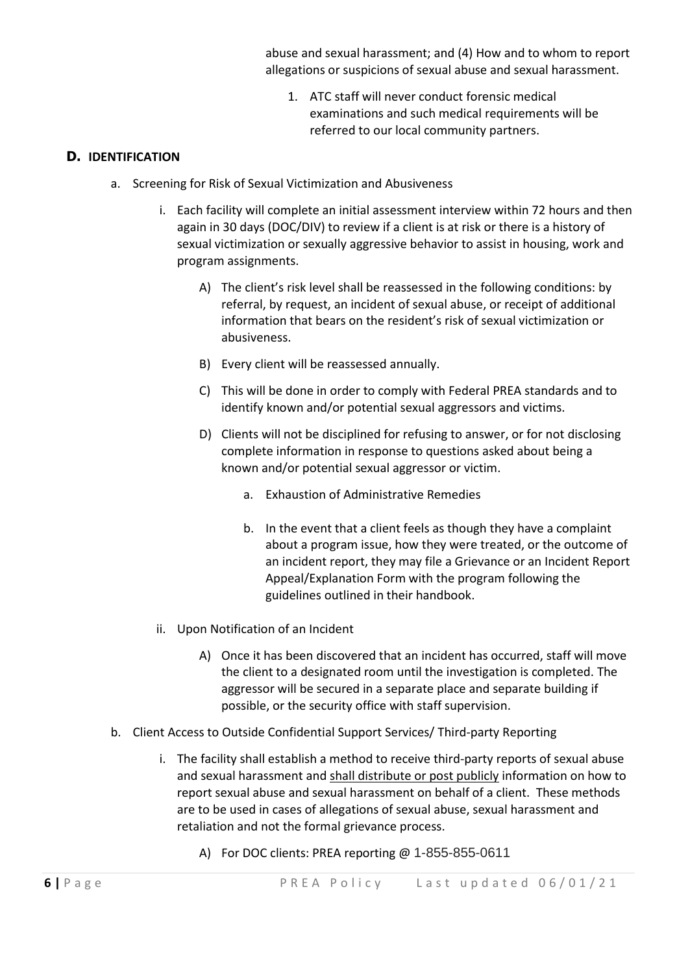abuse and sexual harassment; and (4) How and to whom to report allegations or suspicions of sexual abuse and sexual harassment.

1. ATC staff will never conduct forensic medical examinations and such medical requirements will be referred to our local community partners.

## **D. IDENTIFICATION**

- a. Screening for Risk of Sexual Victimization and Abusiveness
	- i. Each facility will complete an initial assessment interview within 72 hours and then again in 30 days (DOC/DIV) to review if a client is at risk or there is a history of sexual victimization or sexually aggressive behavior to assist in housing, work and program assignments.
		- A) The client's risk level shall be reassessed in the following conditions: by referral, by request, an incident of sexual abuse, or receipt of additional information that bears on the resident's risk of sexual victimization or abusiveness.
		- B) Every client will be reassessed annually.
		- C) This will be done in order to comply with Federal PREA standards and to identify known and/or potential sexual aggressors and victims.
		- D) Clients will not be disciplined for refusing to answer, or for not disclosing complete information in response to questions asked about being a known and/or potential sexual aggressor or victim.
			- a. Exhaustion of Administrative Remedies
			- b. In the event that a client feels as though they have a complaint about a program issue, how they were treated, or the outcome of an incident report, they may file a Grievance or an Incident Report Appeal/Explanation Form with the program following the guidelines outlined in their handbook.
	- ii. Upon Notification of an Incident
		- A) Once it has been discovered that an incident has occurred, staff will move the client to a designated room until the investigation is completed. The aggressor will be secured in a separate place and separate building if possible, or the security office with staff supervision.
- b. Client Access to Outside Confidential Support Services/ Third-party Reporting
	- i. The facility shall establish a method to receive third-party reports of sexual abuse and sexual harassment and shall distribute or post publicly information on how to report sexual abuse and sexual harassment on behalf of a client. These methods are to be used in cases of allegations of sexual abuse, sexual harassment and retaliation and not the formal grievance process.
		- A) For DOC clients: PREA reporting @ 1-855-855-0611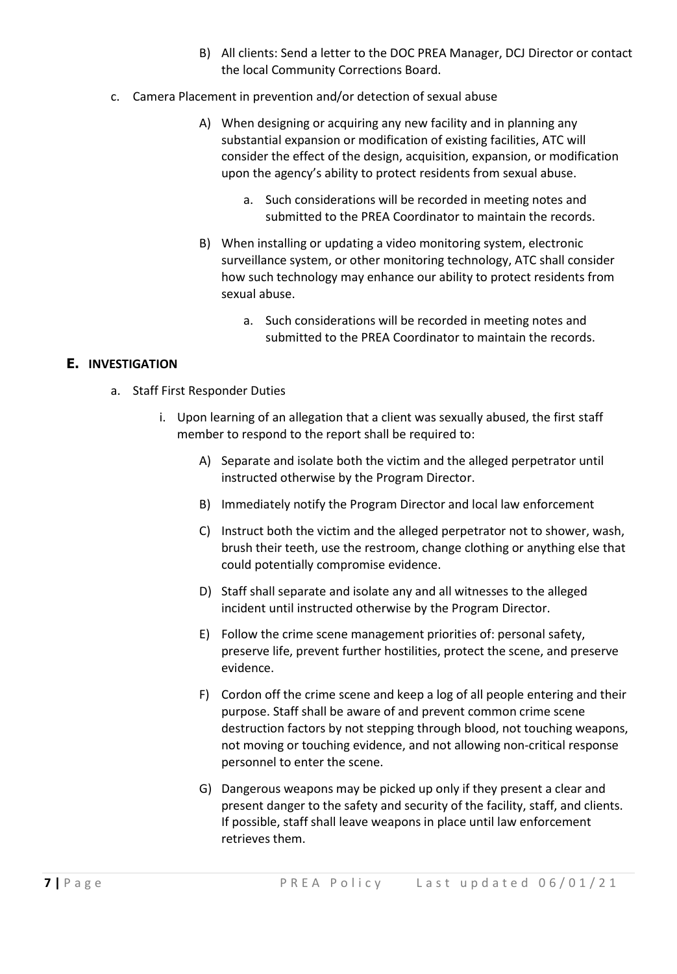- B) All clients: Send a letter to the DOC PREA Manager, DCJ Director or contact the local Community Corrections Board.
- c. Camera Placement in prevention and/or detection of sexual abuse
	- A) When designing or acquiring any new facility and in planning any substantial expansion or modification of existing facilities, ATC will consider the effect of the design, acquisition, expansion, or modification upon the agency's ability to protect residents from sexual abuse.
		- a. Such considerations will be recorded in meeting notes and submitted to the PREA Coordinator to maintain the records.
	- B) When installing or updating a video monitoring system, electronic surveillance system, or other monitoring technology, ATC shall consider how such technology may enhance our ability to protect residents from sexual abuse.
		- a. Such considerations will be recorded in meeting notes and submitted to the PREA Coordinator to maintain the records.

### **E. INVESTIGATION**

- a. Staff First Responder Duties
	- i. Upon learning of an allegation that a client was sexually abused, the first staff member to respond to the report shall be required to:
		- A) Separate and isolate both the victim and the alleged perpetrator until instructed otherwise by the Program Director.
		- B) Immediately notify the Program Director and local law enforcement
		- C) Instruct both the victim and the alleged perpetrator not to shower, wash, brush their teeth, use the restroom, change clothing or anything else that could potentially compromise evidence.
		- D) Staff shall separate and isolate any and all witnesses to the alleged incident until instructed otherwise by the Program Director.
		- E) Follow the crime scene management priorities of: personal safety, preserve life, prevent further hostilities, protect the scene, and preserve evidence.
		- F) Cordon off the crime scene and keep a log of all people entering and their purpose. Staff shall be aware of and prevent common crime scene destruction factors by not stepping through blood, not touching weapons, not moving or touching evidence, and not allowing non-critical response personnel to enter the scene.
		- G) Dangerous weapons may be picked up only if they present a clear and present danger to the safety and security of the facility, staff, and clients. If possible, staff shall leave weapons in place until law enforcement retrieves them.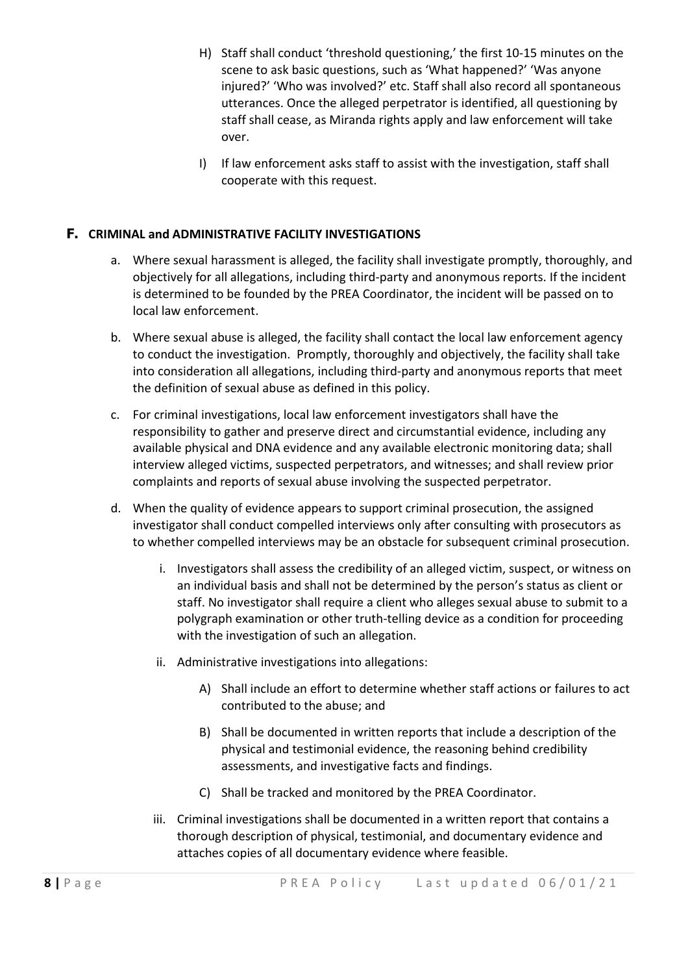- H) Staff shall conduct 'threshold questioning,' the first 10-15 minutes on the scene to ask basic questions, such as 'What happened?' 'Was anyone injured?' 'Who was involved?' etc. Staff shall also record all spontaneous utterances. Once the alleged perpetrator is identified, all questioning by staff shall cease, as Miranda rights apply and law enforcement will take over.
- I) If law enforcement asks staff to assist with the investigation, staff shall cooperate with this request.

## **F. CRIMINAL and ADMINISTRATIVE FACILITY INVESTIGATIONS**

- a. Where sexual harassment is alleged, the facility shall investigate promptly, thoroughly, and objectively for all allegations, including third-party and anonymous reports. If the incident is determined to be founded by the PREA Coordinator, the incident will be passed on to local law enforcement.
- b. Where sexual abuse is alleged, the facility shall contact the local law enforcement agency to conduct the investigation. Promptly, thoroughly and objectively, the facility shall take into consideration all allegations, including third-party and anonymous reports that meet the definition of sexual abuse as defined in this policy.
- c. For criminal investigations, local law enforcement investigators shall have the responsibility to gather and preserve direct and circumstantial evidence, including any available physical and DNA evidence and any available electronic monitoring data; shall interview alleged victims, suspected perpetrators, and witnesses; and shall review prior complaints and reports of sexual abuse involving the suspected perpetrator.
- d. When the quality of evidence appears to support criminal prosecution, the assigned investigator shall conduct compelled interviews only after consulting with prosecutors as to whether compelled interviews may be an obstacle for subsequent criminal prosecution.
	- i. Investigators shall assess the credibility of an alleged victim, suspect, or witness on an individual basis and shall not be determined by the person's status as client or staff. No investigator shall require a client who alleges sexual abuse to submit to a polygraph examination or other truth-telling device as a condition for proceeding with the investigation of such an allegation.
	- ii. Administrative investigations into allegations:
		- A) Shall include an effort to determine whether staff actions or failures to act contributed to the abuse; and
		- B) Shall be documented in written reports that include a description of the physical and testimonial evidence, the reasoning behind credibility assessments, and investigative facts and findings.
		- C) Shall be tracked and monitored by the PREA Coordinator.
	- iii. Criminal investigations shall be documented in a written report that contains a thorough description of physical, testimonial, and documentary evidence and attaches copies of all documentary evidence where feasible.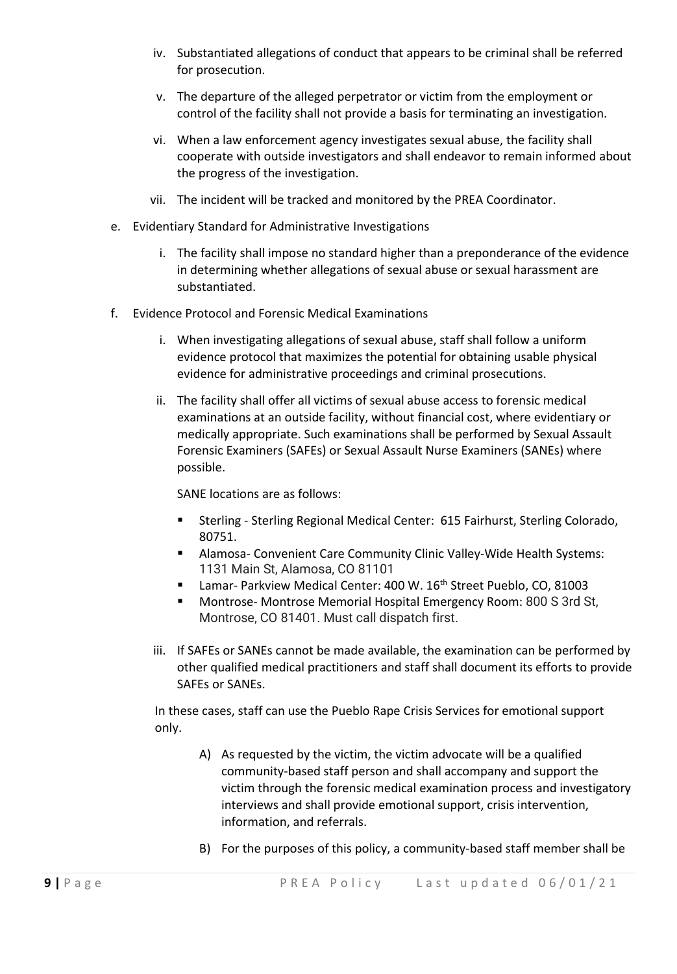- iv. Substantiated allegations of conduct that appears to be criminal shall be referred for prosecution.
- v. The departure of the alleged perpetrator or victim from the employment or control of the facility shall not provide a basis for terminating an investigation.
- vi. When a law enforcement agency investigates sexual abuse, the facility shall cooperate with outside investigators and shall endeavor to remain informed about the progress of the investigation.
- vii. The incident will be tracked and monitored by the PREA Coordinator.
- e. Evidentiary Standard for Administrative Investigations
	- i. The facility shall impose no standard higher than a preponderance of the evidence in determining whether allegations of sexual abuse or sexual harassment are substantiated.
- f. Evidence Protocol and Forensic Medical Examinations
	- i. When investigating allegations of sexual abuse, staff shall follow a uniform evidence protocol that maximizes the potential for obtaining usable physical evidence for administrative proceedings and criminal prosecutions.
	- ii. The facility shall offer all victims of sexual abuse access to forensic medical examinations at an outside facility, without financial cost, where evidentiary or medically appropriate. Such examinations shall be performed by Sexual Assault Forensic Examiners (SAFEs) or Sexual Assault Nurse Examiners (SANEs) where possible.

SANE locations are as follows:

- Sterling Sterling Regional Medical Center: 615 Fairhurst, Sterling Colorado, 80751.
- Alamosa- Convenient Care Community Clinic Valley-Wide Health Systems: 1131 Main St, Alamosa, CO 81101
- Lamar- Parkview Medical Center: 400 W. 16<sup>th</sup> Street Pueblo, CO, 81003
- Montrose- Montrose Memorial Hospital Emergency Room: 800 S 3rd St, Montrose, CO 81401. Must call dispatch first.
- iii. If SAFEs or SANEs cannot be made available, the examination can be performed by other qualified medical practitioners and staff shall document its efforts to provide SAFEs or SANEs.

In these cases, staff can use the Pueblo Rape Crisis Services for emotional support only.

- A) As requested by the victim, the victim advocate will be a qualified community-based staff person and shall accompany and support the victim through the forensic medical examination process and investigatory interviews and shall provide emotional support, crisis intervention, information, and referrals.
- B) For the purposes of this policy, a community-based staff member shall be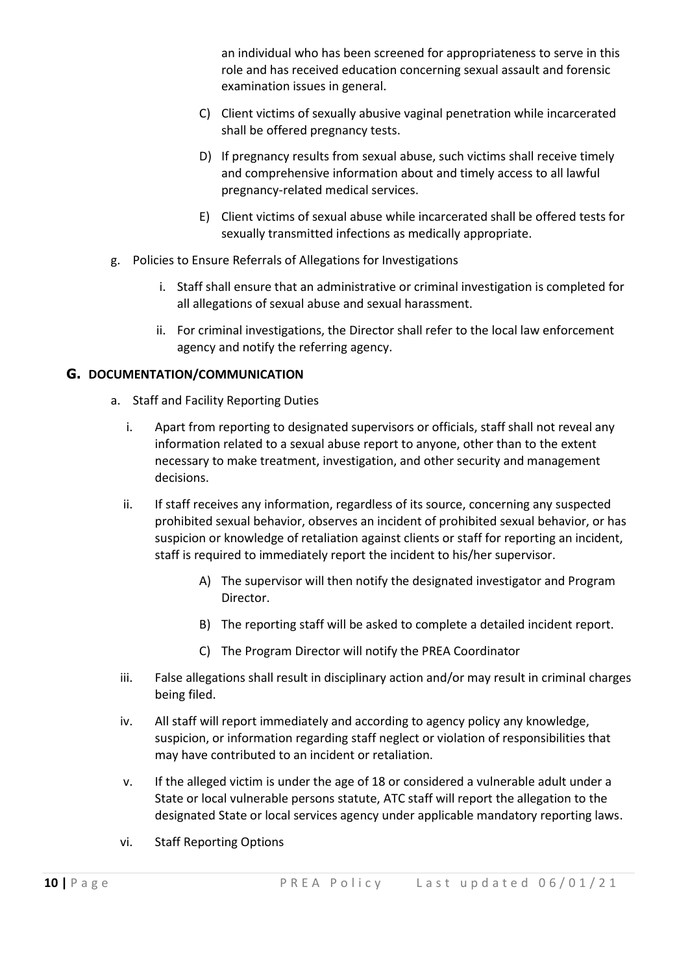an individual who has been screened for appropriateness to serve in this role and has received education concerning sexual assault and forensic examination issues in general.

- C) Client victims of sexually abusive vaginal penetration while incarcerated shall be offered pregnancy tests.
- D) If pregnancy results from sexual abuse, such victims shall receive timely and comprehensive information about and timely access to all lawful pregnancy-related medical services.
- E) Client victims of sexual abuse while incarcerated shall be offered tests for sexually transmitted infections as medically appropriate.
- g. Policies to Ensure Referrals of Allegations for Investigations
	- i. Staff shall ensure that an administrative or criminal investigation is completed for all allegations of sexual abuse and sexual harassment.
	- ii. For criminal investigations, the Director shall refer to the local law enforcement agency and notify the referring agency.

### **G. DOCUMENTATION/COMMUNICATION**

- a. Staff and Facility Reporting Duties
	- i. Apart from reporting to designated supervisors or officials, staff shall not reveal any information related to a sexual abuse report to anyone, other than to the extent necessary to make treatment, investigation, and other security and management decisions.
	- ii. If staff receives any information, regardless of its source, concerning any suspected prohibited sexual behavior, observes an incident of prohibited sexual behavior, or has suspicion or knowledge of retaliation against clients or staff for reporting an incident, staff is required to immediately report the incident to his/her supervisor.
		- A) The supervisor will then notify the designated investigator and Program Director.
		- B) The reporting staff will be asked to complete a detailed incident report.
		- C) The Program Director will notify the PREA Coordinator
	- iii. False allegations shall result in disciplinary action and/or may result in criminal charges being filed.
	- iv. All staff will report immediately and according to agency policy any knowledge, suspicion, or information regarding staff neglect or violation of responsibilities that may have contributed to an incident or retaliation.
	- v. If the alleged victim is under the age of 18 or considered a vulnerable adult under a State or local vulnerable persons statute, ATC staff will report the allegation to the designated State or local services agency under applicable mandatory reporting laws.
	- vi. Staff Reporting Options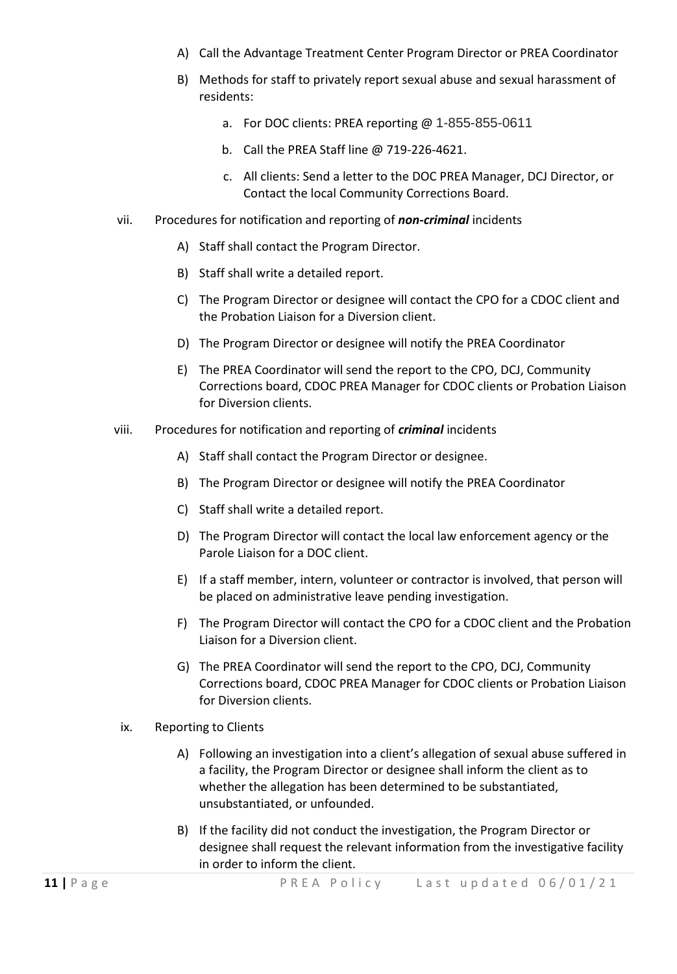- A) Call the Advantage Treatment Center Program Director or PREA Coordinator
- B) Methods for staff to privately report sexual abuse and sexual harassment of residents:
	- a. For DOC clients: PREA reporting @ 1-855-855-0611
	- b. Call the PREA Staff line @ 719-226-4621.
	- c. All clients: Send a letter to the DOC PREA Manager, DCJ Director, or Contact the local Community Corrections Board.
- vii. Procedures for notification and reporting of *non-criminal* incidents
	- A) Staff shall contact the Program Director.
	- B) Staff shall write a detailed report.
	- C) The Program Director or designee will contact the CPO for a CDOC client and the Probation Liaison for a Diversion client.
	- D) The Program Director or designee will notify the PREA Coordinator
	- E) The PREA Coordinator will send the report to the CPO, DCJ, Community Corrections board, CDOC PREA Manager for CDOC clients or Probation Liaison for Diversion clients.
- viii. Procedures for notification and reporting of *criminal* incidents
	- A) Staff shall contact the Program Director or designee.
	- B) The Program Director or designee will notify the PREA Coordinator
	- C) Staff shall write a detailed report.
	- D) The Program Director will contact the local law enforcement agency or the Parole Liaison for a DOC client.
	- E) If a staff member, intern, volunteer or contractor is involved, that person will be placed on administrative leave pending investigation.
	- F) The Program Director will contact the CPO for a CDOC client and the Probation Liaison for a Diversion client.
	- G) The PREA Coordinator will send the report to the CPO, DCJ, Community Corrections board, CDOC PREA Manager for CDOC clients or Probation Liaison for Diversion clients.
	- ix. Reporting to Clients
		- A) Following an investigation into a client's allegation of sexual abuse suffered in a facility, the Program Director or designee shall inform the client as to whether the allegation has been determined to be substantiated, unsubstantiated, or unfounded.
		- B) If the facility did not conduct the investigation, the Program Director or designee shall request the relevant information from the investigative facility in order to inform the client.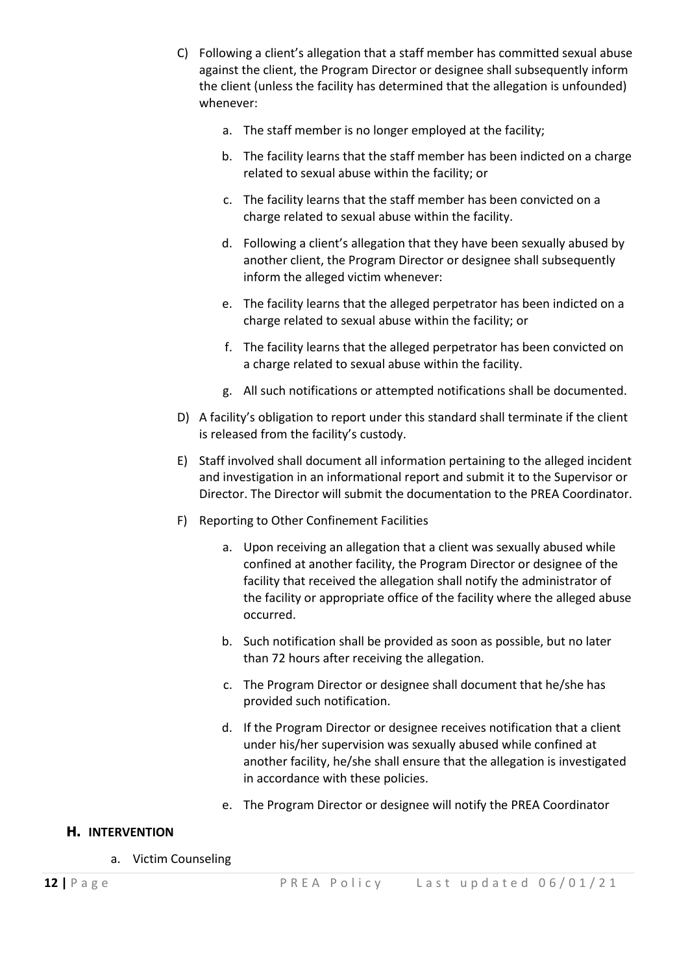- C) Following a client's allegation that a staff member has committed sexual abuse against the client, the Program Director or designee shall subsequently inform the client (unless the facility has determined that the allegation is unfounded) whenever:
	- a. The staff member is no longer employed at the facility;
	- b. The facility learns that the staff member has been indicted on a charge related to sexual abuse within the facility; or
	- c. The facility learns that the staff member has been convicted on a charge related to sexual abuse within the facility.
	- d. Following a client's allegation that they have been sexually abused by another client, the Program Director or designee shall subsequently inform the alleged victim whenever:
	- e. The facility learns that the alleged perpetrator has been indicted on a charge related to sexual abuse within the facility; or
	- f. The facility learns that the alleged perpetrator has been convicted on a charge related to sexual abuse within the facility.
	- g. All such notifications or attempted notifications shall be documented.
- D) A facility's obligation to report under this standard shall terminate if the client is released from the facility's custody.
- E) Staff involved shall document all information pertaining to the alleged incident and investigation in an informational report and submit it to the Supervisor or Director. The Director will submit the documentation to the PREA Coordinator.
- F) Reporting to Other Confinement Facilities
	- a. Upon receiving an allegation that a client was sexually abused while confined at another facility, the Program Director or designee of the facility that received the allegation shall notify the administrator of the facility or appropriate office of the facility where the alleged abuse occurred.
	- b. Such notification shall be provided as soon as possible, but no later than 72 hours after receiving the allegation.
	- c. The Program Director or designee shall document that he/she has provided such notification.
	- d. If the Program Director or designee receives notification that a client under his/her supervision was sexually abused while confined at another facility, he/she shall ensure that the allegation is investigated in accordance with these policies.
	- e. The Program Director or designee will notify the PREA Coordinator

### **H. INTERVENTION**

a. Victim Counseling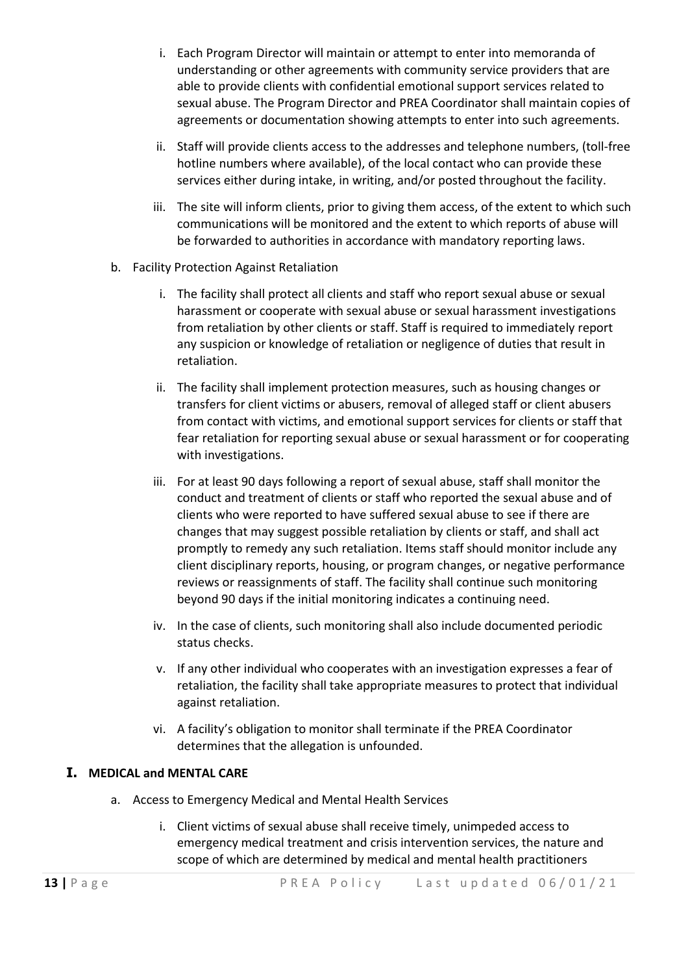- i. Each Program Director will maintain or attempt to enter into memoranda of understanding or other agreements with community service providers that are able to provide clients with confidential emotional support services related to sexual abuse. The Program Director and PREA Coordinator shall maintain copies of agreements or documentation showing attempts to enter into such agreements.
- ii. Staff will provide clients access to the addresses and telephone numbers, (toll-free hotline numbers where available), of the local contact who can provide these services either during intake, in writing, and/or posted throughout the facility.
- iii. The site will inform clients, prior to giving them access, of the extent to which such communications will be monitored and the extent to which reports of abuse will be forwarded to authorities in accordance with mandatory reporting laws.
- b. Facility Protection Against Retaliation
	- i. The facility shall protect all clients and staff who report sexual abuse or sexual harassment or cooperate with sexual abuse or sexual harassment investigations from retaliation by other clients or staff. Staff is required to immediately report any suspicion or knowledge of retaliation or negligence of duties that result in retaliation.
	- ii. The facility shall implement protection measures, such as housing changes or transfers for client victims or abusers, removal of alleged staff or client abusers from contact with victims, and emotional support services for clients or staff that fear retaliation for reporting sexual abuse or sexual harassment or for cooperating with investigations.
	- iii. For at least 90 days following a report of sexual abuse, staff shall monitor the conduct and treatment of clients or staff who reported the sexual abuse and of clients who were reported to have suffered sexual abuse to see if there are changes that may suggest possible retaliation by clients or staff, and shall act promptly to remedy any such retaliation. Items staff should monitor include any client disciplinary reports, housing, or program changes, or negative performance reviews or reassignments of staff. The facility shall continue such monitoring beyond 90 days if the initial monitoring indicates a continuing need.
	- iv. In the case of clients, such monitoring shall also include documented periodic status checks.
	- v. If any other individual who cooperates with an investigation expresses a fear of retaliation, the facility shall take appropriate measures to protect that individual against retaliation.
	- vi. A facility's obligation to monitor shall terminate if the PREA Coordinator determines that the allegation is unfounded.

#### **I. MEDICAL and MENTAL CARE**

- a. Access to Emergency Medical and Mental Health Services
	- i. Client victims of sexual abuse shall receive timely, unimpeded access to emergency medical treatment and crisis intervention services, the nature and scope of which are determined by medical and mental health practitioners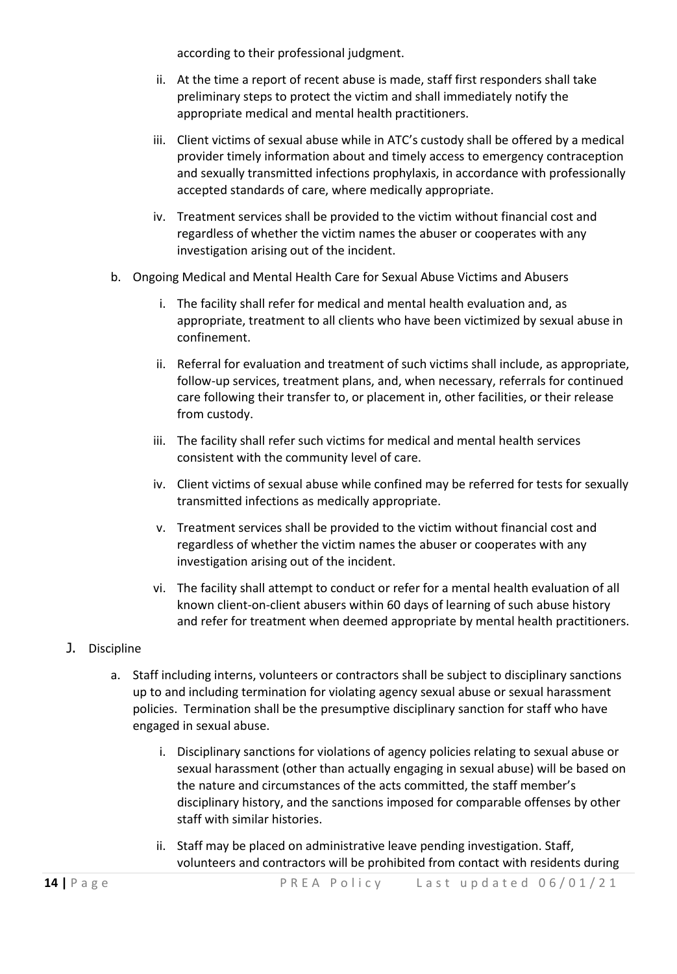according to their professional judgment.

- ii. At the time a report of recent abuse is made, staff first responders shall take preliminary steps to protect the victim and shall immediately notify the appropriate medical and mental health practitioners.
- iii. Client victims of sexual abuse while in ATC's custody shall be offered by a medical provider timely information about and timely access to emergency contraception and sexually transmitted infections prophylaxis, in accordance with professionally accepted standards of care, where medically appropriate.
- iv. Treatment services shall be provided to the victim without financial cost and regardless of whether the victim names the abuser or cooperates with any investigation arising out of the incident.
- b. Ongoing Medical and Mental Health Care for Sexual Abuse Victims and Abusers
	- i. The facility shall refer for medical and mental health evaluation and, as appropriate, treatment to all clients who have been victimized by sexual abuse in confinement.
	- ii. Referral for evaluation and treatment of such victims shall include, as appropriate, follow-up services, treatment plans, and, when necessary, referrals for continued care following their transfer to, or placement in, other facilities, or their release from custody.
	- iii. The facility shall refer such victims for medical and mental health services consistent with the community level of care.
	- iv. Client victims of sexual abuse while confined may be referred for tests for sexually transmitted infections as medically appropriate.
	- v. Treatment services shall be provided to the victim without financial cost and regardless of whether the victim names the abuser or cooperates with any investigation arising out of the incident.
	- vi. The facility shall attempt to conduct or refer for a mental health evaluation of all known client-on-client abusers within 60 days of learning of such abuse history and refer for treatment when deemed appropriate by mental health practitioners.
- J. Discipline
	- a. Staff including interns, volunteers or contractors shall be subject to disciplinary sanctions up to and including termination for violating agency sexual abuse or sexual harassment policies. Termination shall be the presumptive disciplinary sanction for staff who have engaged in sexual abuse.
		- i. Disciplinary sanctions for violations of agency policies relating to sexual abuse or sexual harassment (other than actually engaging in sexual abuse) will be based on the nature and circumstances of the acts committed, the staff member's disciplinary history, and the sanctions imposed for comparable offenses by other staff with similar histories.
		- ii. Staff may be placed on administrative leave pending investigation. Staff, volunteers and contractors will be prohibited from contact with residents during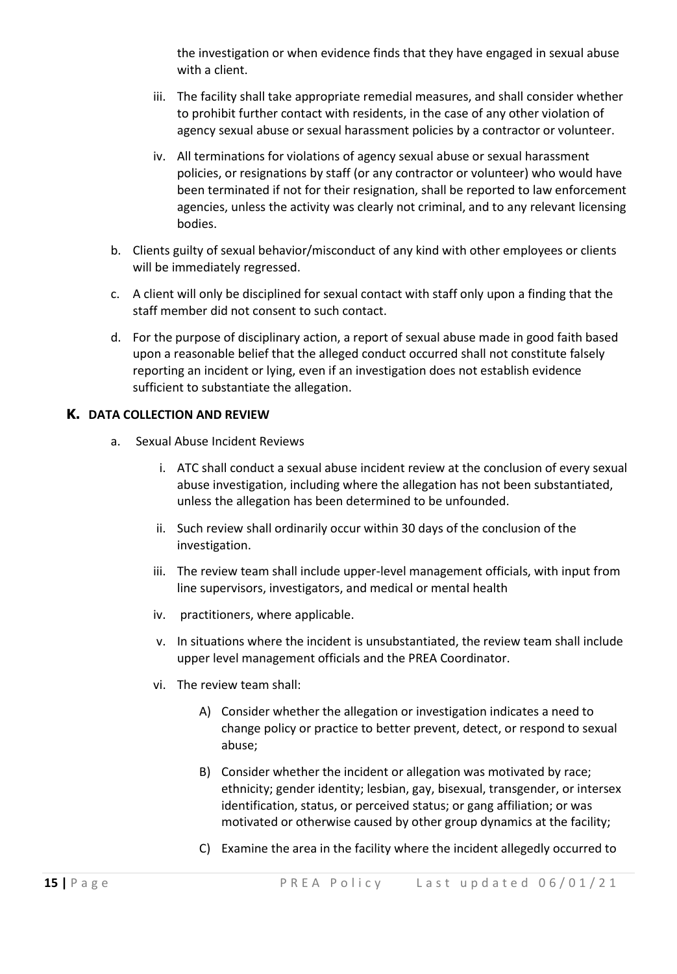the investigation or when evidence finds that they have engaged in sexual abuse with a client.

- iii. The facility shall take appropriate remedial measures, and shall consider whether to prohibit further contact with residents, in the case of any other violation of agency sexual abuse or sexual harassment policies by a contractor or volunteer.
- iv. All terminations for violations of agency sexual abuse or sexual harassment policies, or resignations by staff (or any contractor or volunteer) who would have been terminated if not for their resignation, shall be reported to law enforcement agencies, unless the activity was clearly not criminal, and to any relevant licensing bodies.
- b. Clients guilty of sexual behavior/misconduct of any kind with other employees or clients will be immediately regressed.
- c. A client will only be disciplined for sexual contact with staff only upon a finding that the staff member did not consent to such contact.
- d. For the purpose of disciplinary action, a report of sexual abuse made in good faith based upon a reasonable belief that the alleged conduct occurred shall not constitute falsely reporting an incident or lying, even if an investigation does not establish evidence sufficient to substantiate the allegation.

#### **K. DATA COLLECTION AND REVIEW**

- a. Sexual Abuse Incident Reviews
	- i. ATC shall conduct a sexual abuse incident review at the conclusion of every sexual abuse investigation, including where the allegation has not been substantiated, unless the allegation has been determined to be unfounded.
	- ii. Such review shall ordinarily occur within 30 days of the conclusion of the investigation.
	- iii. The review team shall include upper-level management officials, with input from line supervisors, investigators, and medical or mental health
	- iv. practitioners, where applicable.
	- v. In situations where the incident is unsubstantiated, the review team shall include upper level management officials and the PREA Coordinator.
	- vi. The review team shall:
		- A) Consider whether the allegation or investigation indicates a need to change policy or practice to better prevent, detect, or respond to sexual abuse;
		- B) Consider whether the incident or allegation was motivated by race; ethnicity; gender identity; lesbian, gay, bisexual, transgender, or intersex identification, status, or perceived status; or gang affiliation; or was motivated or otherwise caused by other group dynamics at the facility;
		- C) Examine the area in the facility where the incident allegedly occurred to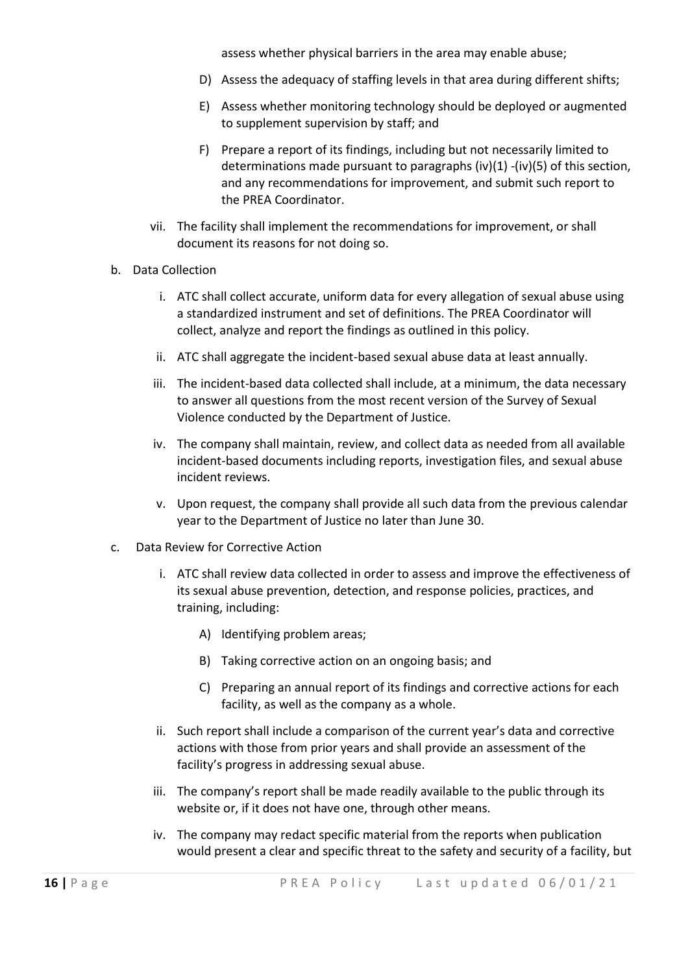assess whether physical barriers in the area may enable abuse;

- D) Assess the adequacy of staffing levels in that area during different shifts;
- E) Assess whether monitoring technology should be deployed or augmented to supplement supervision by staff; and
- F) Prepare a report of its findings, including but not necessarily limited to determinations made pursuant to paragraphs (iv)(1) -(iv)(5) of this section, and any recommendations for improvement, and submit such report to the PREA Coordinator.
- vii. The facility shall implement the recommendations for improvement, or shall document its reasons for not doing so.
- b. Data Collection
	- i. ATC shall collect accurate, uniform data for every allegation of sexual abuse using a standardized instrument and set of definitions. The PREA Coordinator will collect, analyze and report the findings as outlined in this policy.
	- ii. ATC shall aggregate the incident-based sexual abuse data at least annually.
	- iii. The incident-based data collected shall include, at a minimum, the data necessary to answer all questions from the most recent version of the Survey of Sexual Violence conducted by the Department of Justice.
	- iv. The company shall maintain, review, and collect data as needed from all available incident-based documents including reports, investigation files, and sexual abuse incident reviews.
	- v. Upon request, the company shall provide all such data from the previous calendar year to the Department of Justice no later than June 30.
- c. Data Review for Corrective Action
	- i. ATC shall review data collected in order to assess and improve the effectiveness of its sexual abuse prevention, detection, and response policies, practices, and training, including:
		- A) Identifying problem areas;
		- B) Taking corrective action on an ongoing basis; and
		- C) Preparing an annual report of its findings and corrective actions for each facility, as well as the company as a whole.
	- ii. Such report shall include a comparison of the current year's data and corrective actions with those from prior years and shall provide an assessment of the facility's progress in addressing sexual abuse.
	- iii. The company's report shall be made readily available to the public through its website or, if it does not have one, through other means.
	- iv. The company may redact specific material from the reports when publication would present a clear and specific threat to the safety and security of a facility, but